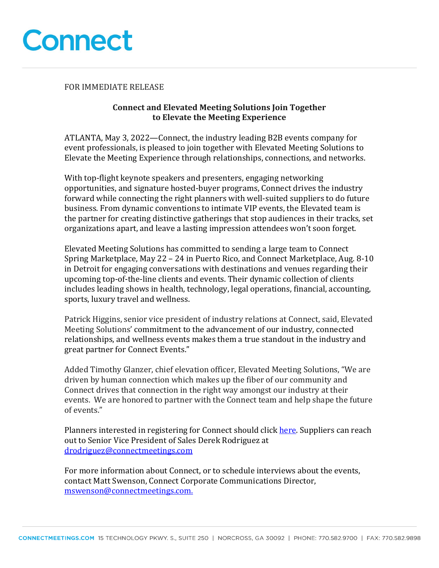

FOR IMMEDIATE RELEASE

## **Connect and Elevated Meeting Solutions Join Together to Elevate the Meeting Experience**

ATLANTA, May 3, 2022—Connect, the industry leading B2B events company for event professionals, is pleased to join together with Elevated Meeting Solutions to Elevate the Meeting Experience through relationships, connections, and networks.

With top-flight keynote speakers and presenters, engaging networking opportunities, and signature hosted-buyer programs, Connect drives the industry forward while connecting the right planners with well-suited suppliers to do future business. From dynamic conventions to intimate VIP events, the Elevated team is the partner for creating distinctive gatherings that stop audiences in their tracks, set organizations apart, and leave a lasting impression attendees won't soon forget.

Elevated Meeting Solutions has committed to sending a large team to Connect Spring Marketplace, May 22 – 24 in Puerto Rico, and Connect Marketplace, Aug. 8-10 in Detroit for engaging conversations with destinations and venues regarding their upcoming top-of-the-line clients and events. Their dynamic collection of clients includes leading shows in health, technology, legal operations, financial, accounting, sports, luxury travel and wellness.

Patrick Higgins, senior vice president of industry relations at Connect, said, Elevated Meeting Solutions' commitment to the advancement of our industry, connected relationships, and wellness events makes them a true standout in the industry and great partner for Connect Events."

Added Timothy Glanzer, chief elevation officer, Elevated Meeting Solutions, "We are driven by human connection which makes up the fiber of our community and Connect drives that connection in the right way amongst our industry at their events. We are honored to partner with the Connect team and help shape the future of events."

Planners interested in registering for Connect should click here. Suppliers can reach out to Senior Vice President of Sales Derek Rodriguez at drodriguez@connectmeetings.com

For more information about Connect, or to schedule interviews about the events, contact Matt Swenson, Connect Corporate Communications Director, mswenson@connectmeetings.com.